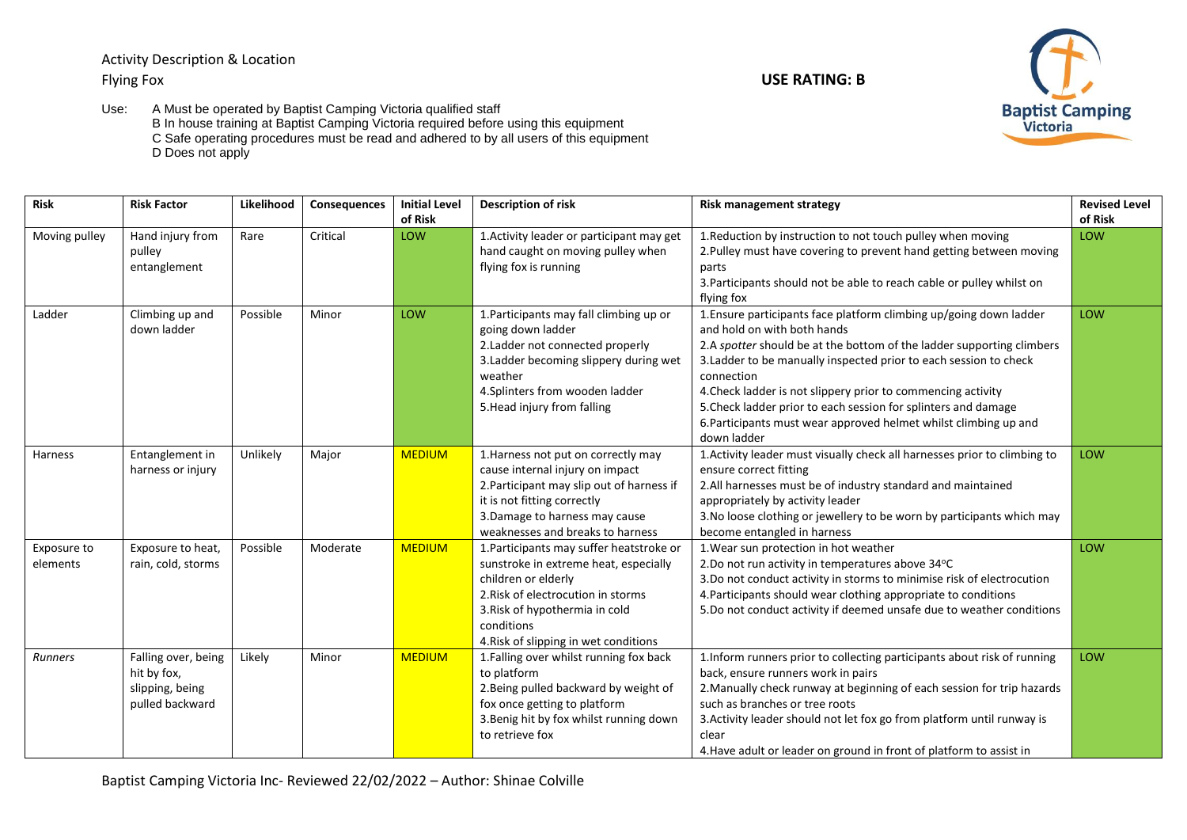Activity Description & Location Flying Fox **USE RATING: B**



Use: A Must be operated by Baptist Camping Victoria qualified staff B In house training at Baptist Camping Victoria required before using this equipment C Safe operating procedures must be read and adhered to by all users of this equipment D Does not apply

| <b>Risk</b>   | <b>Risk Factor</b>                         | Likelihood | <b>Consequences</b> | <b>Initial Level</b> | <b>Description of risk</b>                                                                                                                 | <b>Risk management strategy</b>                                                                                                                                                                                                                 | <b>Revised Level</b> |
|---------------|--------------------------------------------|------------|---------------------|----------------------|--------------------------------------------------------------------------------------------------------------------------------------------|-------------------------------------------------------------------------------------------------------------------------------------------------------------------------------------------------------------------------------------------------|----------------------|
| Moving pulley | Hand injury from<br>pulley<br>entanglement | Rare       | Critical            | of Risk<br>LOW       | 1. Activity leader or participant may get<br>hand caught on moving pulley when<br>flying fox is running                                    | 1. Reduction by instruction to not touch pulley when moving<br>2. Pulley must have covering to prevent hand getting between moving<br>parts                                                                                                     | of Risk<br>LOW       |
|               |                                            |            |                     |                      |                                                                                                                                            | 3. Participants should not be able to reach cable or pulley whilst on<br>flying fox                                                                                                                                                             |                      |
| Ladder        | Climbing up and<br>down ladder             | Possible   | Minor               | LOW                  | 1. Participants may fall climbing up or<br>going down ladder<br>2. Ladder not connected properly<br>3. Ladder becoming slippery during wet | 1. Ensure participants face platform climbing up/going down ladder<br>and hold on with both hands<br>2.A spotter should be at the bottom of the ladder supporting climbers<br>3. Ladder to be manually inspected prior to each session to check | LOW                  |
|               |                                            |            |                     |                      | weather                                                                                                                                    | connection                                                                                                                                                                                                                                      |                      |
|               |                                            |            |                     |                      | 4. Splinters from wooden ladder                                                                                                            | 4. Check ladder is not slippery prior to commencing activity                                                                                                                                                                                    |                      |
|               |                                            |            |                     |                      | 5. Head injury from falling                                                                                                                | 5. Check ladder prior to each session for splinters and damage<br>6. Participants must wear approved helmet whilst climbing up and                                                                                                              |                      |
|               |                                            |            |                     |                      |                                                                                                                                            | down ladder                                                                                                                                                                                                                                     |                      |
| Harness       | Entanglement in                            | Unlikely   | Major               | <b>MEDIUM</b>        | 1. Harness not put on correctly may                                                                                                        | 1. Activity leader must visually check all harnesses prior to climbing to                                                                                                                                                                       | LOW                  |
|               | harness or injury                          |            |                     |                      | cause internal injury on impact                                                                                                            | ensure correct fitting                                                                                                                                                                                                                          |                      |
|               |                                            |            |                     |                      | 2. Participant may slip out of harness if<br>it is not fitting correctly                                                                   | 2. All harnesses must be of industry standard and maintained<br>appropriately by activity leader                                                                                                                                                |                      |
|               |                                            |            |                     |                      | 3. Damage to harness may cause                                                                                                             | 3. No loose clothing or jewellery to be worn by participants which may                                                                                                                                                                          |                      |
|               |                                            |            |                     |                      | weaknesses and breaks to harness                                                                                                           | become entangled in harness                                                                                                                                                                                                                     |                      |
| Exposure to   | Exposure to heat,                          | Possible   | Moderate            | <b>MEDIUM</b>        | 1. Participants may suffer heatstroke or                                                                                                   | 1. Wear sun protection in hot weather                                                                                                                                                                                                           | LOW                  |
| elements      | rain, cold, storms                         |            |                     |                      | sunstroke in extreme heat, especially                                                                                                      | 2.Do not run activity in temperatures above 34°C                                                                                                                                                                                                |                      |
|               |                                            |            |                     |                      | children or elderly                                                                                                                        | 3.Do not conduct activity in storms to minimise risk of electrocution                                                                                                                                                                           |                      |
|               |                                            |            |                     |                      | 2. Risk of electrocution in storms                                                                                                         | 4. Participants should wear clothing appropriate to conditions                                                                                                                                                                                  |                      |
|               |                                            |            |                     |                      | 3. Risk of hypothermia in cold                                                                                                             | 5.Do not conduct activity if deemed unsafe due to weather conditions                                                                                                                                                                            |                      |
|               |                                            |            |                     |                      | conditions                                                                                                                                 |                                                                                                                                                                                                                                                 |                      |
|               |                                            |            |                     |                      | 4. Risk of slipping in wet conditions                                                                                                      |                                                                                                                                                                                                                                                 |                      |
| Runners       | Falling over, being                        | Likely     | Minor               | <b>MEDIUM</b>        | 1. Falling over whilst running fox back<br>to platform                                                                                     | 1. Inform runners prior to collecting participants about risk of running                                                                                                                                                                        | LOW                  |
|               | hit by fox,<br>slipping, being             |            |                     |                      | 2. Being pulled backward by weight of                                                                                                      | back, ensure runners work in pairs<br>2. Manually check runway at beginning of each session for trip hazards                                                                                                                                    |                      |
|               | pulled backward                            |            |                     |                      | fox once getting to platform                                                                                                               | such as branches or tree roots                                                                                                                                                                                                                  |                      |
|               |                                            |            |                     |                      | 3. Benig hit by fox whilst running down                                                                                                    | 3. Activity leader should not let fox go from platform until runway is                                                                                                                                                                          |                      |
|               |                                            |            |                     |                      | to retrieve fox                                                                                                                            | clear                                                                                                                                                                                                                                           |                      |
|               |                                            |            |                     |                      |                                                                                                                                            | 4. Have adult or leader on ground in front of platform to assist in                                                                                                                                                                             |                      |